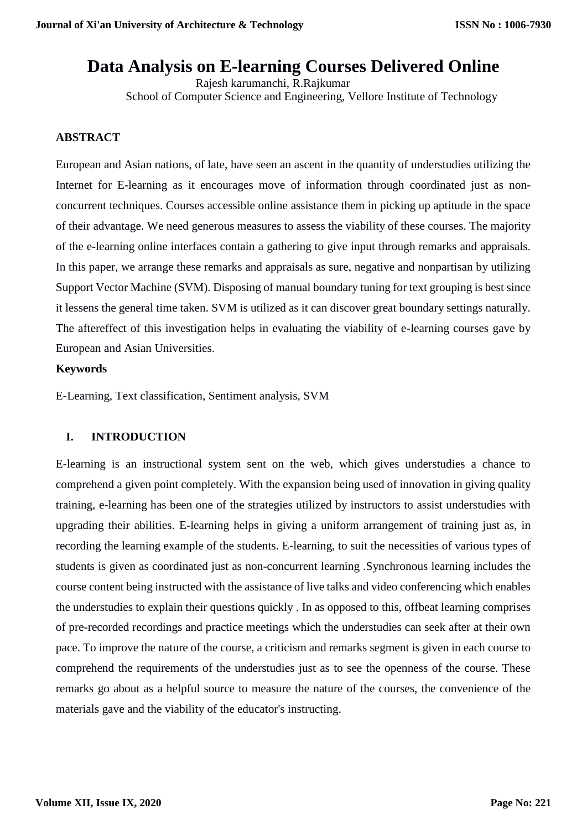# **Data Analysis on E-learning Courses Delivered Online**

Rajesh karumanchi, R.Rajkumar School of Computer Science and Engineering, Vellore Institute of Technology

## **ABSTRACT**

European and Asian nations, of late, have seen an ascent in the quantity of understudies utilizing the Internet for E-learning as it encourages move of information through coordinated just as nonconcurrent techniques. Courses accessible online assistance them in picking up aptitude in the space of their advantage. We need generous measures to assess the viability of these courses. The majority of the e-learning online interfaces contain a gathering to give input through remarks and appraisals. In this paper, we arrange these remarks and appraisals as sure, negative and nonpartisan by utilizing Support Vector Machine (SVM). Disposing of manual boundary tuning for text grouping is best since it lessens the general time taken. SVM is utilized as it can discover great boundary settings naturally. The aftereffect of this investigation helps in evaluating the viability of e-learning courses gave by European and Asian Universities.

### **Keywords**

E-Learning, Text classification, Sentiment analysis, SVM

# **I. INTRODUCTION**

E-learning is an instructional system sent on the web, which gives understudies a chance to comprehend a given point completely. With the expansion being used of innovation in giving quality training, e-learning has been one of the strategies utilized by instructors to assist understudies with upgrading their abilities. E-learning helps in giving a uniform arrangement of training just as, in recording the learning example of the students. E-learning, to suit the necessities of various types of students is given as coordinated just as non-concurrent learning .Synchronous learning includes the course content being instructed with the assistance of live talks and video conferencing which enables the understudies to explain their questions quickly . In as opposed to this, offbeat learning comprises of pre-recorded recordings and practice meetings which the understudies can seek after at their own pace. To improve the nature of the course, a criticism and remarks segment is given in each course to comprehend the requirements of the understudies just as to see the openness of the course. These remarks go about as a helpful source to measure the nature of the courses, the convenience of the materials gave and the viability of the educator's instructing.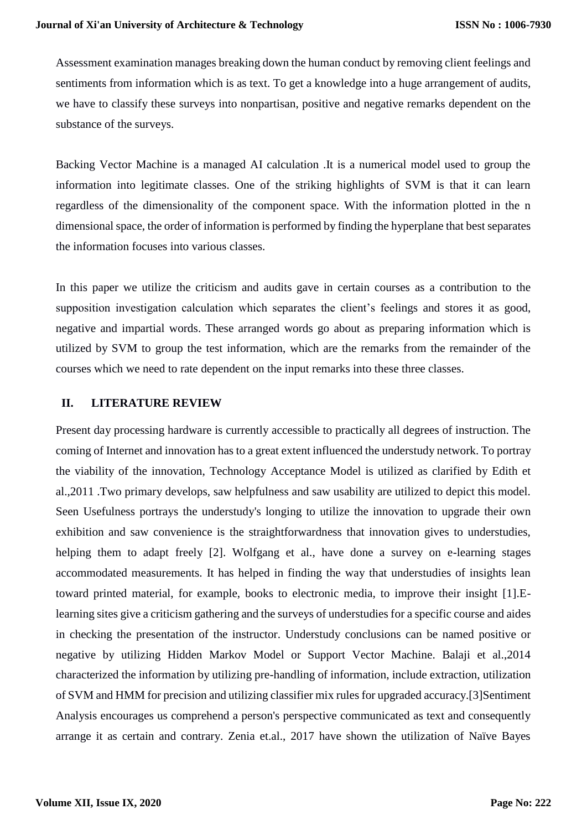Assessment examination manages breaking down the human conduct by removing client feelings and sentiments from information which is as text. To get a knowledge into a huge arrangement of audits, we have to classify these surveys into nonpartisan, positive and negative remarks dependent on the substance of the surveys.

Backing Vector Machine is a managed AI calculation .It is a numerical model used to group the information into legitimate classes. One of the striking highlights of SVM is that it can learn regardless of the dimensionality of the component space. With the information plotted in the n dimensional space, the order of information is performed by finding the hyperplane that best separates the information focuses into various classes.

In this paper we utilize the criticism and audits gave in certain courses as a contribution to the supposition investigation calculation which separates the client's feelings and stores it as good, negative and impartial words. These arranged words go about as preparing information which is utilized by SVM to group the test information, which are the remarks from the remainder of the courses which we need to rate dependent on the input remarks into these three classes.

# **II. LITERATURE REVIEW**

Present day processing hardware is currently accessible to practically all degrees of instruction. The coming of Internet and innovation has to a great extent influenced the understudy network. To portray the viability of the innovation, Technology Acceptance Model is utilized as clarified by Edith et al.,2011 .Two primary develops, saw helpfulness and saw usability are utilized to depict this model. Seen Usefulness portrays the understudy's longing to utilize the innovation to upgrade their own exhibition and saw convenience is the straightforwardness that innovation gives to understudies, helping them to adapt freely [2]. Wolfgang et al., have done a survey on e-learning stages accommodated measurements. It has helped in finding the way that understudies of insights lean toward printed material, for example, books to electronic media, to improve their insight [1].Elearning sites give a criticism gathering and the surveys of understudies for a specific course and aides in checking the presentation of the instructor. Understudy conclusions can be named positive or negative by utilizing Hidden Markov Model or Support Vector Machine. Balaji et al.,2014 characterized the information by utilizing pre-handling of information, include extraction, utilization of SVM and HMM for precision and utilizing classifier mix rules for upgraded accuracy.[3]Sentiment Analysis encourages us comprehend a person's perspective communicated as text and consequently arrange it as certain and contrary. Zenia et.al., 2017 have shown the utilization of Naïve Bayes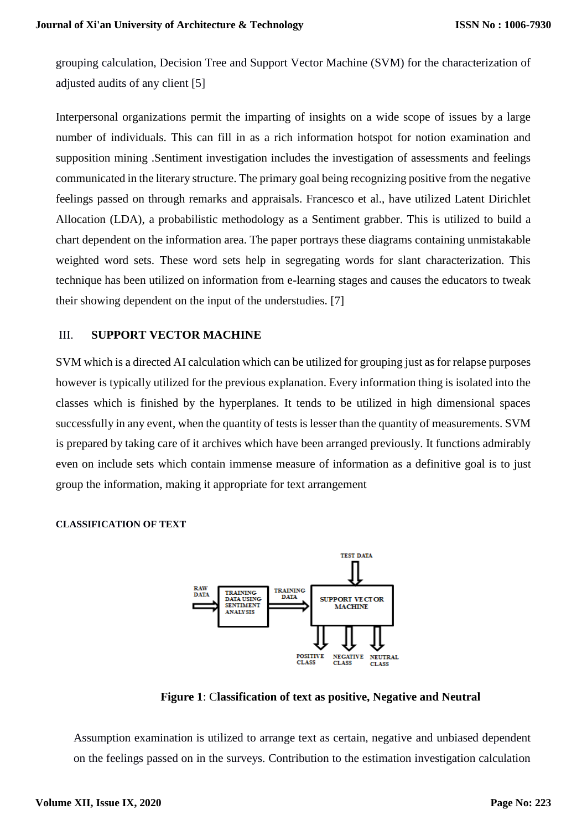grouping calculation, Decision Tree and Support Vector Machine (SVM) for the characterization of adjusted audits of any client [5]

Interpersonal organizations permit the imparting of insights on a wide scope of issues by a large number of individuals. This can fill in as a rich information hotspot for notion examination and supposition mining .Sentiment investigation includes the investigation of assessments and feelings communicated in the literary structure. The primary goal being recognizing positive from the negative feelings passed on through remarks and appraisals. Francesco et al., have utilized Latent Dirichlet Allocation (LDA), a probabilistic methodology as a Sentiment grabber. This is utilized to build a chart dependent on the information area. The paper portrays these diagrams containing unmistakable weighted word sets. These word sets help in segregating words for slant characterization. This technique has been utilized on information from e-learning stages and causes the educators to tweak their showing dependent on the input of the understudies. [7]

## III. **SUPPORT VECTOR MACHINE**

SVM which is a directed AI calculation which can be utilized for grouping just as for relapse purposes however is typically utilized for the previous explanation. Every information thing is isolated into the classes which is finished by the hyperplanes. It tends to be utilized in high dimensional spaces successfully in any event, when the quantity of tests is lesser than the quantity of measurements. SVM is prepared by taking care of it archives which have been arranged previously. It functions admirably even on include sets which contain immense measure of information as a definitive goal is to just group the information, making it appropriate for text arrangement

### **CLASSIFICATION OF TEXT**



**Figure 1**: C**lassification of text as positive, Negative and Neutral**

Assumption examination is utilized to arrange text as certain, negative and unbiased dependent on the feelings passed on in the surveys. Contribution to the estimation investigation calculation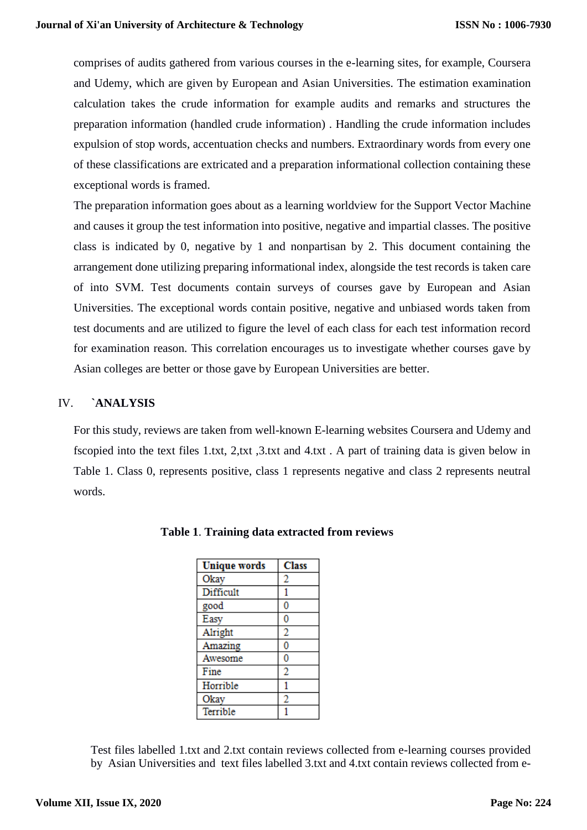comprises of audits gathered from various courses in the e-learning sites, for example, Coursera and Udemy, which are given by European and Asian Universities. The estimation examination calculation takes the crude information for example audits and remarks and structures the preparation information (handled crude information) . Handling the crude information includes expulsion of stop words, accentuation checks and numbers. Extraordinary words from every one of these classifications are extricated and a preparation informational collection containing these exceptional words is framed.

The preparation information goes about as a learning worldview for the Support Vector Machine and causes it group the test information into positive, negative and impartial classes. The positive class is indicated by 0, negative by 1 and nonpartisan by 2. This document containing the arrangement done utilizing preparing informational index, alongside the test records is taken care of into SVM. Test documents contain surveys of courses gave by European and Asian Universities. The exceptional words contain positive, negative and unbiased words taken from test documents and are utilized to figure the level of each class for each test information record for examination reason. This correlation encourages us to investigate whether courses gave by Asian colleges are better or those gave by European Universities are better.

# IV. **`ANALYSIS**

For this study, reviews are taken from well-known E-learning websites Coursera and Udemy and fscopied into the text files 1.txt, 2,txt ,3.txt and 4.txt . A part of training data is given below in Table 1. Class 0, represents positive, class 1 represents negative and class 2 represents neutral words.

| <b>Unique words</b> | <b>Class</b>   |
|---------------------|----------------|
| Okay                | $\bf 2$        |
| Difficult           | 1              |
| good                | 0              |
| Easy                | 0              |
| Alright             | 2              |
| Amazing             | 0              |
| Awesome             | 0              |
| Fine                | 2              |
| Horrible            | 1              |
| Okay                | $\overline{2}$ |
| Terrible            |                |

|  |  | Table 1. Training data extracted from reviews |  |  |
|--|--|-----------------------------------------------|--|--|
|--|--|-----------------------------------------------|--|--|

Test files labelled 1.txt and 2.txt contain reviews collected from e-learning courses provided by Asian Universities and text files labelled 3.txt and 4.txt contain reviews collected from e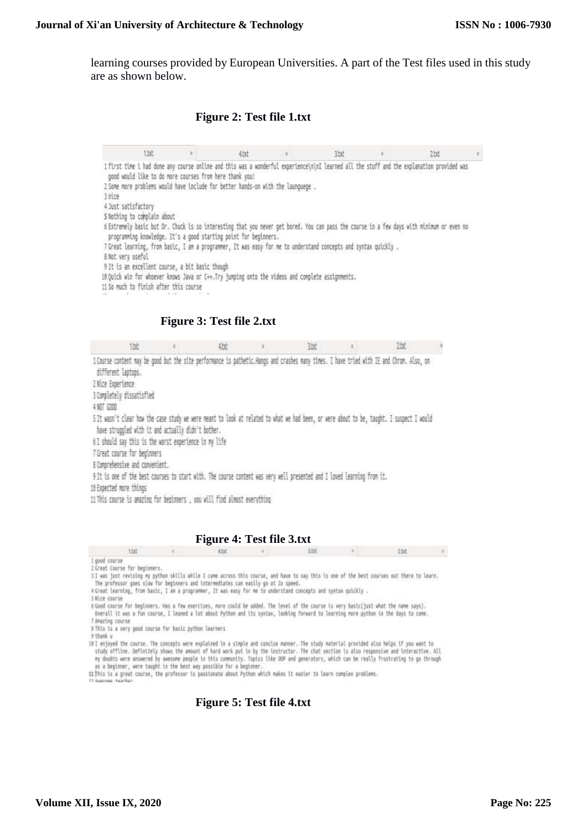learning courses provided by European Universities. A part of the Test files used in this study are as shown below.

#### **Figure 2: Test file 1.txt**

| the                                                                                                                                                                                                           | 11 B |                           | $4$ ht | × | list | 2bit       |  |
|---------------------------------------------------------------------------------------------------------------------------------------------------------------------------------------------------------------|------|---------------------------|--------|---|------|------------|--|
| 1 first time i had done any course online and this was a wonderful experience\n\nI learned all the stuff and the explanation provided was<br>good would like to do more courses from here thank you!          |      |                           |        |   |      |            |  |
| 2 Some more problems would have include for better hands-on with the launquege,                                                                                                                               |      |                           |        |   |      |            |  |
| 3 nice                                                                                                                                                                                                        |      |                           |        |   |      |            |  |
| 4 Just satisfactory                                                                                                                                                                                           |      |                           |        |   |      |            |  |
| 5 Nothing to complain about                                                                                                                                                                                   |      |                           |        |   |      |            |  |
| 6 Extremely basic but Dr. Chuck is so interesting that you never get bored. You can pass the course in a few days with minimum or even no<br>programming knowledge. It's a good starting point for beginners. |      |                           |        |   |      |            |  |
| 7 Great learning, from basic, I am a programmer, It was easy for me to understand concepts and syntax quickly.                                                                                                |      |                           |        |   |      |            |  |
| 8 Not very useful.                                                                                                                                                                                            |      |                           |        |   |      |            |  |
| 9 It is an excellent course, a bit basic though                                                                                                                                                               |      |                           |        |   |      |            |  |
| 18 Quick win for whoever knows Java or C++. Try jumping onto the videos and complete assignments.                                                                                                             |      |                           |        |   |      |            |  |
| 11 So much to finish after this course                                                                                                                                                                        |      |                           |        |   |      |            |  |
|                                                                                                                                                                                                               |      |                           |        |   |      |            |  |
|                                                                                                                                                                                                               |      |                           |        |   |      |            |  |
|                                                                                                                                                                                                               |      |                           |        |   |      |            |  |
|                                                                                                                                                                                                               |      |                           |        |   |      |            |  |
|                                                                                                                                                                                                               |      | Figure 3: Test file 2.txt |        |   |      |            |  |
|                                                                                                                                                                                                               |      |                           |        |   |      |            |  |
| 键                                                                                                                                                                                                             |      | 锁                         |        | 號 |      | <b>Dat</b> |  |
| I Course content may be good but the site performance is pathetic.Hangs and crashes many times. I have tried with IE and Chron. Also, on                                                                      |      |                           |        |   |      |            |  |
| different laptops.                                                                                                                                                                                            |      |                           |        |   |      |            |  |
| 2 Mice Experience                                                                                                                                                                                             |      |                           |        |   |      |            |  |
| 3 Completely dissatisfied                                                                                                                                                                                     |      |                           |        |   |      |            |  |
| 4 507 6208                                                                                                                                                                                                    |      |                           |        |   |      |            |  |
|                                                                                                                                                                                                               |      |                           |        |   |      |            |  |
| 5 It wasn't clear how the case study we were meant to look at related to what we had been, or were about to be, taught. I suspect I would                                                                     |      |                           |        |   |      |            |  |
| have struggled with it and actually didn't bother.                                                                                                                                                            |      |                           |        |   |      |            |  |
| 6I should say this is the worst experience in my life                                                                                                                                                         |      |                           |        |   |      |            |  |
| 7 Great course for beginners                                                                                                                                                                                  |      |                           |        |   |      |            |  |
| 8 Comprehensive and convenient.                                                                                                                                                                               |      |                           |        |   |      |            |  |
| 9 It is one of the best courses to start with. The course content was very well presented and I loved learning from it.                                                                                       |      |                           |        |   |      |            |  |
| 10 Expected more things<br>11 This course is amazing for beginners , you will find almost everything                                                                                                          |      |                           |        |   |      |            |  |

**Figure 4: Test file 3.txt**

thit  $42x$ 3.txt  $2bt$ **Contract Contract State** ×

1 good course<br>2 Great Course for beginners.<br>3 I was just revising my pythan skills while I came across this course, and have to say this is one of the best courses out there to learn.<br>The professor goes slow for beginners

4 Great learning, from basic, I am a programmer, It was easy for me to understand concepts and syntax quickly.

SHLce course

6 Good course for beginners. Has a few exercises, more could be added. The level of the course is very basic(just what the name says). Overall it was a fun course, I leaned a lot about Python and its systax, looking forward to learning more python in the days to come.

T Amering course<br>T Amering course<br>B This is a very good course for basic python learners<br>O thank u

9 thank u

y Daes a<br>10 I enjoyed the course. The cancepts were explained in a simple and conclse manner. The study material provided also helps if you want to<br>study effline. Definitely shows the amount of hard work put in by the inst

as a beginner, were taught in the best way possible for a beginner.<br>11 This is a great course, the professor is passionate about Python which makes it easier to learn complex problems.<br>It Auguses facebor

### **Figure 5: Test file 4.txt**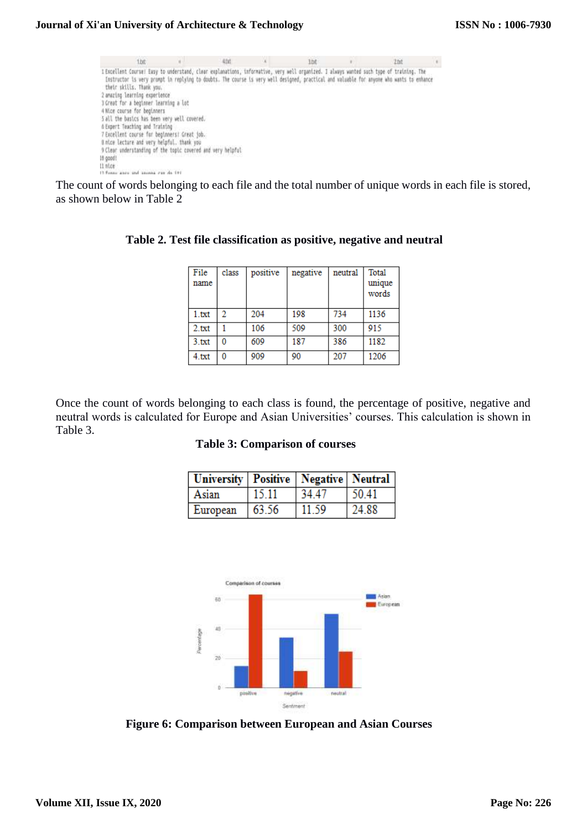| 1.bt                                                                                                                                                                                                                                                                                                                                                                                                                                                                                                                                                                                                                                                                                                                                          | 4.00 | lbt | Zbt |  |
|-----------------------------------------------------------------------------------------------------------------------------------------------------------------------------------------------------------------------------------------------------------------------------------------------------------------------------------------------------------------------------------------------------------------------------------------------------------------------------------------------------------------------------------------------------------------------------------------------------------------------------------------------------------------------------------------------------------------------------------------------|------|-----|-----|--|
| I Escellent Course! Easy to understand, cloar explanations, informative, very well organized. I always wunted such type of training. The<br>Instructor is very prompt in replying to doubts. The course is very well designed, practical and valuable for anyone who wants to enhance<br>their skills. Thank you.<br>2 amering learning experience<br>3 Great for a beginner learning a lot<br>4 Nice course for beginners<br>5 all the basics has been very well covered.<br>A Expert Teaching and Training<br>7 Excellent course for beginners! Great job.<br>Bintce lecture and very heipful, thank you<br>9 Clear understanding of the topic covered and very helpful<br>th good!<br>$11$ $n$ tce<br>13 Forest game and answer can do 191 |      |     |     |  |

The count of words belonging to each file and the total number of unique words in each file is stored, as shown below in Table 2

| File<br>name | class | positive | negative | neutral | Total<br>unique<br>words |
|--------------|-------|----------|----------|---------|--------------------------|
| 1.txt        | 2     | 204      | 198      | 734     | 1136                     |
| 2.txt        |       | 106      | 509      | 300     | 915                      |
| 3.txt        | 0     | 609      | 187      | 386     | 1182                     |
| 4.txt        | 0     | 909      | 90       | 207     | 1206                     |

## **Table 2. Test file classification as positive, negative and neutral**

Once the count of words belonging to each class is found, the percentage of positive, negative and neutral words is calculated for Europe and Asian Universities' courses. This calculation is shown in Table 3.

#### **Table 3: Comparison of courses**

| University Positive   Negative   Neutral |       |       |       |
|------------------------------------------|-------|-------|-------|
| Asian                                    | 15.11 | 34.47 | 50.41 |
| European                                 | 63.56 | 11.59 | 24.88 |



**Figure 6: Comparison between European and Asian Courses**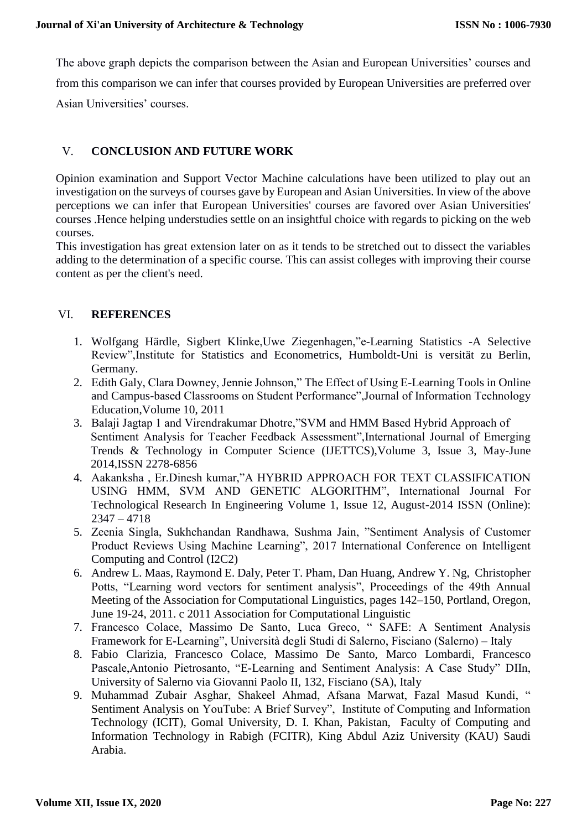The above graph depicts the comparison between the Asian and European Universities' courses and from this comparison we can infer that courses provided by European Universities are preferred over Asian Universities' courses.

# V. **CONCLUSION AND FUTURE WORK**

Opinion examination and Support Vector Machine calculations have been utilized to play out an investigation on the surveys of courses gave by European and Asian Universities. In view of the above perceptions we can infer that European Universities' courses are favored over Asian Universities' courses .Hence helping understudies settle on an insightful choice with regards to picking on the web courses.

This investigation has great extension later on as it tends to be stretched out to dissect the variables adding to the determination of a specific course. This can assist colleges with improving their course content as per the client's need.

## VI. **REFERENCES**

- 1. Wolfgang Härdle, Sigbert Klinke,Uwe Ziegenhagen,"e-Learning Statistics -A Selective Review",Institute for Statistics and Econometrics, Humboldt-Uni is versität zu Berlin, Germany.
- 2. Edith Galy, Clara Downey, Jennie Johnson," The Effect of Using E-Learning Tools in Online and Campus-based Classrooms on Student Performance",Journal of Information Technology Education,Volume 10, 2011
- 3. Balaji Jagtap 1 and Virendrakumar Dhotre,"SVM and HMM Based Hybrid Approach of Sentiment Analysis for Teacher Feedback Assessment",International Journal of Emerging Trends & Technology in Computer Science (IJETTCS),Volume 3, Issue 3, May-June 2014,ISSN 2278-6856
- 4. Aakanksha , Er.Dinesh kumar,"A HYBRID APPROACH FOR TEXT CLASSIFICATION USING HMM, SVM AND GENETIC ALGORITHM", International Journal For Technological Research In Engineering Volume 1, Issue 12, August-2014 ISSN (Online): 2347 – 4718
- 5. Zeenia Singla, Sukhchandan Randhawa, Sushma Jain, "Sentiment Analysis of Customer Product Reviews Using Machine Learning", 2017 International Conference on Intelligent Computing and Control (I2C2)
- 6. Andrew L. Maas, Raymond E. Daly, Peter T. Pham, Dan Huang, Andrew Y. Ng, Christopher Potts, "Learning word vectors for sentiment analysis", Proceedings of the 49th Annual Meeting of the Association for Computational Linguistics, pages 142–150, Portland, Oregon, June 19-24, 2011. c 2011 Association for Computational Linguistic
- 7. Francesco Colace, Massimo De Santo, Luca Greco, " SAFE: A Sentiment Analysis Framework for E-Learning", Università degli Studi di Salerno, Fisciano (Salerno) – Italy
- 8. Fabio Clarizia, Francesco Colace, Massimo De Santo, Marco Lombardi, Francesco Pascale,Antonio Pietrosanto, "E-Learning and Sentiment Analysis: A Case Study" DIIn, University of Salerno via Giovanni Paolo II, 132, Fisciano (SA), Italy
- 9. Muhammad Zubair Asghar, Shakeel Ahmad, Afsana Marwat, Fazal Masud Kundi, " Sentiment Analysis on YouTube: A Brief Survey", Institute of Computing and Information Technology (ICIT), Gomal University, D. I. Khan, Pakistan, Faculty of Computing and Information Technology in Rabigh (FCITR), King Abdul Aziz University (KAU) Saudi Arabia.